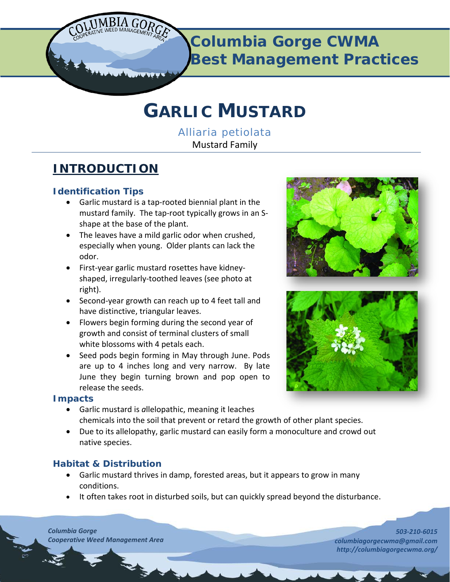

**Columbia Gorge CWMA Best Management Practices**

# **GARLIC MUSTARD**

*Alliaria petiolata* Mustard Family

# **INTRODUCTION**

### **Identification Tips**

- Garlic mustard is a tap-rooted biennial plant in the mustard family. The tap-root typically grows in an Sshape at the base of the plant.
- The leaves have a mild garlic odor when crushed, especially when young. Older plants can lack the odor.
- First-year garlic mustard rosettes have kidneyshaped, irregularly-toothed leaves (see photo at right).
- Second-year growth can reach up to 4 feet tall and have distinctive, triangular leaves.
- Flowers begin forming during the second year of growth and consist of terminal clusters of small white blossoms with 4 petals each.
- Seed pods begin forming in May through June. Pods are up to 4 inches long and very narrow. By late June they begin turning brown and pop open to release the seeds.

#### **Impacts**

- Garlic mustard is *a*llelopathic, meaning it leaches chemicals into the soil that prevent or retard the growth of other plant species.
- Due to its allelopathy, garlic mustard can easily form a monoculture and crowd out native species.

## **Habitat & Distribution**

- Garlic mustard thrives in damp, forested areas, but it appears to grow in many conditions.
- It often takes root in disturbed soils, but can quickly spread beyond the disturbance.

*Columbia Gorge Cooperative Weed Management Area*



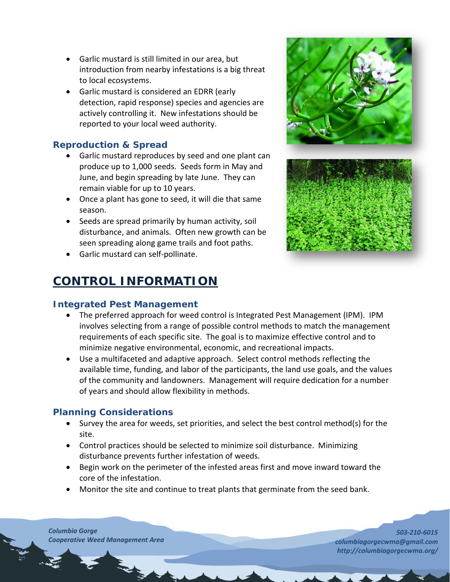- Garlic mustard is still limited in our area, but introduction from nearby infestations is a big threat to local ecosystems.
- Garlic mustard is considered an EDRR (early detection, rapid response) species and agencies are actively controlling it. New infestations should be reported to your local weed authority.

#### **Reproduction & Spread**

- Garlic mustard reproduces by seed and one plant can produce up to 1,000 seeds. Seeds form in May and June, and begin spreading by late June. They can remain viable for up to 10 years.
- Once a plant has gone to seed, it will die that same season.
- Seeds are spread primarily by human activity, soil disturbance, and animals. Often new growth can be seen spreading along game trails and foot paths.
- Garlic mustard can self-pollinate.

# **CONTROL INFORMATION**

#### **Integrated Pest Management**

- The preferred approach for weed control is Integrated Pest Management (IPM). IPM involves selecting from a range of possible control methods to match the management requirements of each specific site. The goal is to maximize effective control and to minimize negative environmental, economic, and recreational impacts.
- Use a multifaceted and adaptive approach. Select control methods reflecting the available time, funding, and labor of the participants, the land use goals, and the values of the community and landowners. Management will require dedication for a number of years and should allow flexibility in methods.

#### **Planning Considerations**

- Survey the area for weeds, set priorities, and select the best control method(s) for the site.
- Control practices should be selected to minimize soil disturbance. Minimizing disturbance prevents further infestation of weeds.
- Begin work on the perimeter of the infested areas first and move inward toward the core of the infestation.
- Monitor the site and continue to treat plants that germinate from the seed bank.

*Columbia Gorge Cooperative Weed Management Area*

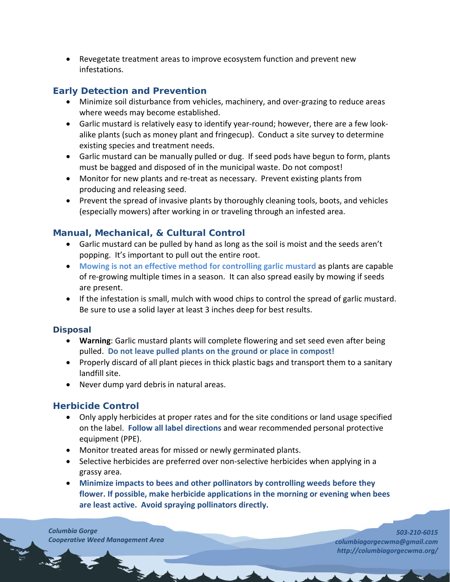• Revegetate treatment areas to improve ecosystem function and prevent new infestations.

## **Early Detection and Prevention**

- Minimize soil disturbance from vehicles, machinery, and over-grazing to reduce areas where weeds may become established.
- Garlic mustard is relatively easy to identify year-round; however, there are a few lookalike plants (such as money plant and fringecup). Conduct a site survey to determine existing species and treatment needs.
- Garlic mustard can be manually pulled or dug. If seed pods have begun to form, plants must be bagged and disposed of in the municipal waste. Do not compost!
- Monitor for new plants and re-treat as necessary. Prevent existing plants from producing and releasing seed.
- Prevent the spread of invasive plants by thoroughly cleaning tools, boots, and vehicles (especially mowers) after working in or traveling through an infested area.

#### **Manual, Mechanical, & Cultural Control**

- Garlic mustard can be pulled by hand as long as the soil is moist and the seeds aren't popping. It's important to pull out the entire root.
- **Mowing is not an effective method for controlling garlic mustard** as plants are capable of re-growing multiple times in a season. It can also spread easily by mowing if seeds are present.
- If the infestation is small, mulch with wood chips to control the spread of garlic mustard. Be sure to use a solid layer at least 3 inches deep for best results.

#### **Disposal**

- **Warning**: Garlic mustard plants will complete flowering and set seed even after being pulled. **Do not leave pulled plants on the ground or place in compost!**
- Properly discard of all plant pieces in thick plastic bags and transport them to a sanitary landfill site.
- Never dump yard debris in natural areas.

#### **Herbicide Control**

- Only apply herbicides at proper rates and for the site conditions or land usage specified on the label. **Follow all label directions** and wear recommended personal protective equipment (PPE).
- Monitor treated areas for missed or newly germinated plants.
- Selective herbicides are preferred over non-selective herbicides when applying in a grassy area.
- **Minimize impacts to bees and other pollinators by controlling weeds before they flower. If possible, make herbicide applications in the morning or evening when bees are least active. Avoid spraying pollinators directly.**

*Columbia Gorge Cooperative Weed Management Area*

3